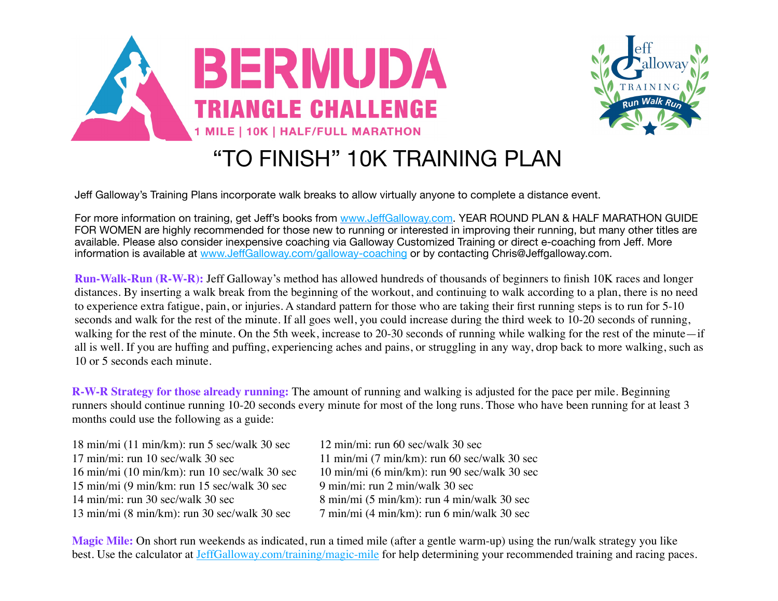



## "TO FINISH" 10K TRAINING PLAN

Jeff Galloway's Training Plans incorporate walk breaks to allow virtually anyone to complete a distance event.

For more information on training, get Jeff's books from www.Jeff[Galloway.com.](http://www.jeffgalloway.com/) YEAR ROUND PLAN & HALF MARATHON GUIDE FOR WOMEN are highly recommended for those new to running or interested in improving their running, but many other titles are available. Please also consider inexpensive coaching via Galloway Customized Training or direct e-coaching from Jeff. More information is available at www.Jeff[Galloway.com/galloway-coaching](http://www.jeffgalloway.com/galloway-coaching) or by contacting Chris@Jeffgalloway.com.

**Run-Walk-Run (R-W-R):** Jeff Galloway's method has allowed hundreds of thousands of beginners to finish 10K races and longer distances. By inserting a walk break from the beginning of the workout, and continuing to walk according to a plan, there is no need to experience extra fatigue, pain, or injuries. A standard pattern for those who are taking their first running steps is to run for 5-10 seconds and walk for the rest of the minute. If all goes well, you could increase during the third week to 10-20 seconds of running, walking for the rest of the minute. On the 5th week, increase to 20-30 seconds of running while walking for the rest of the minute—if all is well. If you are huffing and puffing, experiencing aches and pains, or struggling in any way, drop back to more walking, such as 10 or 5 seconds each minute.

**R-W-R Strategy for those already running:** The amount of running and walking is adjusted for the pace per mile. Beginning runners should continue running 10-20 seconds every minute for most of the long runs. Those who have been running for at least 3 months could use the following as a guide:

| $18 \text{ min/min}$ (11 min/km): run 5 sec/walk 30 sec           | 12 min/mi: run 60 sec/walk 30 sec                       |
|-------------------------------------------------------------------|---------------------------------------------------------|
| 17 min/mi: run 10 sec/walk 30 sec                                 | $11 \text{ min/min}$ (7 min/km): run 60 sec/walk 30 sec |
| $16 \text{ min/min}$ (10 min/km): run 10 sec/walk 30 sec          | 10 min/mi (6 min/km): run 90 sec/walk 30 sec            |
| $15 \text{ min/min}$ (9 min/km: run $15 \text{ sec}$ /walk 30 sec | 9 min/mi: run 2 min/walk 30 sec                         |
| $14 \text{ min/min}$ : run 30 sec/walk 30 sec                     | 8 min/mi (5 min/km): run 4 min/walk 30 sec              |
| $13 \text{ min/min}$ (8 min/km): run 30 sec/walk 30 sec           | $7 \text{ min/min}$ (4 min/km): run 6 min/walk 30 sec   |

**Magic Mile:** On short run weekends as indicated, run a timed mile (after a gentle warm-up) using the run/walk strategy you like best. Use the calculator at [JeffGalloway.com/training/magic-mile](http://JeffGalloway.com/training/magic-mile) for help determining your recommended training and racing paces.